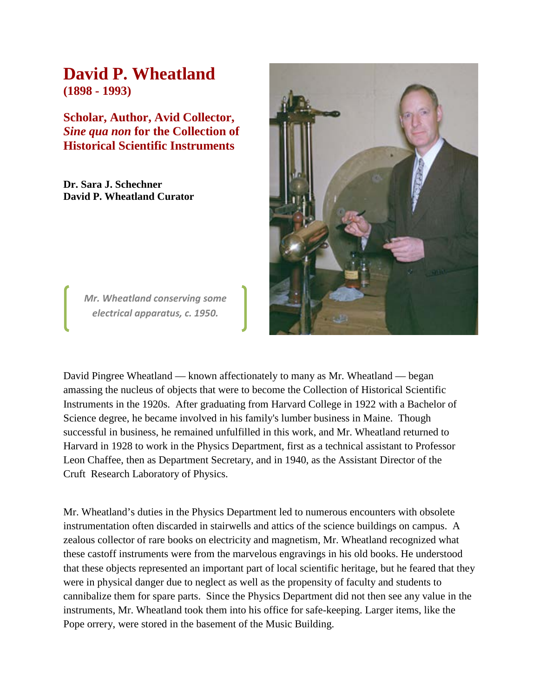## **David P. Wheatland (1898 - 1993)**

**Scholar, Author, Avid Collector,** *Sine qua non* **for the Collection of Historical Scientific Instruments**

**Dr. Sara J. Schechner David P. Wheatland Curator**



*Mr. Wheatland conserving some electrical apparatus, c. 1950.*

David Pingree Wheatland — known affectionately to many as Mr. Wheatland — began amassing the nucleus of objects that were to become the Collection of Historical Scientific Instruments in the 1920s. After graduating from Harvard College in 1922 with a Bachelor of Science degree, he became involved in his family's lumber business in Maine. Though successful in business, he remained unfulfilled in this work, and Mr. Wheatland returned to Harvard in 1928 to work in the Physics Department, first as a technical assistant to Professor Leon Chaffee, then as Department Secretary, and in 1940, as the Assistant Director of the Cruft Research Laboratory of Physics.

Mr. Wheatland's duties in the Physics Department led to numerous encounters with obsolete instrumentation often discarded in stairwells and attics of the science buildings on campus. A zealous collector of rare books on electricity and magnetism, Mr. Wheatland recognized what these castoff instruments were from the marvelous engravings in his old books. He understood that these objects represented an important part of local scientific heritage, but he feared that they were in physical danger due to neglect as well as the propensity of faculty and students to cannibalize them for spare parts. Since the Physics Department did not then see any value in the instruments, Mr. Wheatland took them into his office for safe-keeping. Larger items, like the Pope orrery, were stored in the basement of the Music Building.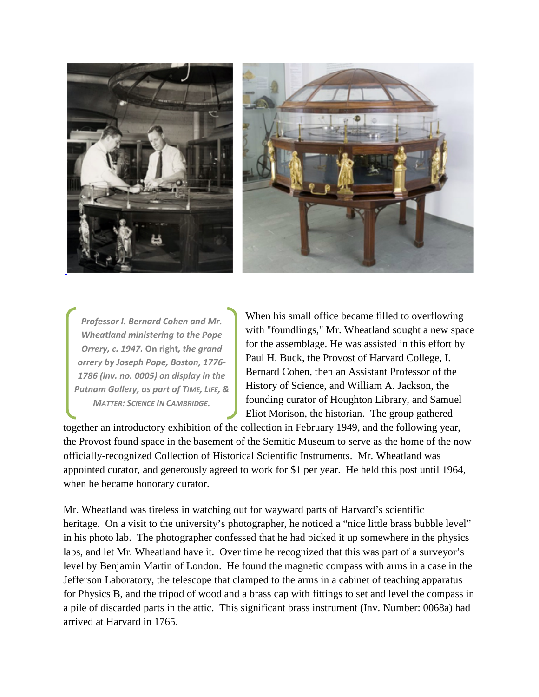



*Professor I. Bernard Cohen and Mr. Wheatland ministering to the Pope Orrery, c. 1947.* **On right***, the grand orrery by Joseph Pope, Boston, 1776- 1786 (inv. no. 0005) on display in the Putnam Gallery, as part of TIME, LIFE, & MATTER: SCIENCE IN CAMBRIDGE.*

When his small office became filled to overflowing with "foundlings," Mr. Wheatland sought a new space for the assemblage. He was assisted in this effort by Paul H. Buck, the Provost of Harvard College, I. Bernard Cohen, then an Assistant Professor of the History of Science, and William A. Jackson, the founding curator of Houghton Library, and Samuel Eliot Morison, the historian. The group gathered

together an introductory exhibition of the collection in February 1949, and the following year, the Provost found space in the basement of the Semitic Museum to serve as the home of the now officially-recognized Collection of Historical Scientific Instruments. Mr. Wheatland was appointed curator, and generously agreed to work for \$1 per year. He held this post until 1964, when he became honorary curator.

Mr. Wheatland was tireless in watching out for wayward parts of Harvard's scientific heritage. On a visit to the university's photographer, he noticed a "nice little brass bubble level" in his photo lab. The photographer confessed that he had picked it up somewhere in the physics labs, and let Mr. Wheatland have it. Over time he recognized that this was part of a surveyor's level by Benjamin Martin of London. He found the magnetic compass with arms in a case in the Jefferson Laboratory, the telescope that clamped to the arms in a cabinet of teaching apparatus for Physics B, and the tripod of wood and a brass cap with fittings to set and level the compass in a pile of discarded parts in the attic. This significant brass instrument (Inv. Number: 0068a) had arrived at Harvard in 1765.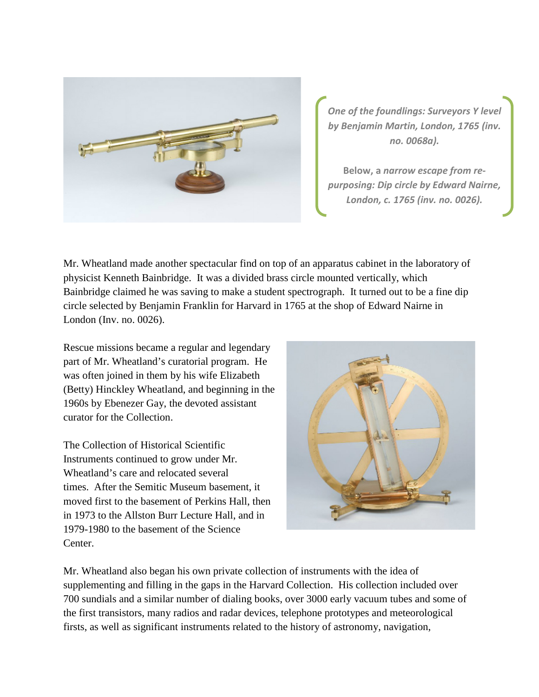

*One of the foundlings: Surveyors Y level by Benjamin Martin, London, 1765 (inv. no. 0068a).*

**Below, a** *narrow escape from repurposing: Dip circle by Edward Nairne, London, c. 1765 (inv. no. 0026).*

Mr. Wheatland made another spectacular find on top of an apparatus cabinet in the laboratory of physicist Kenneth Bainbridge. It was a divided brass circle mounted vertically, which Bainbridge claimed he was saving to make a student spectrograph. It turned out to be a fine dip circle selected by Benjamin Franklin for Harvard in 1765 at the shop of Edward Nairne in London (Inv. no. 0026).

Rescue missions became a regular and legendary part of Mr. Wheatland's curatorial program. He was often joined in them by his wife Elizabeth (Betty) Hinckley Wheatland, and beginning in the 1960s by Ebenezer Gay, the devoted assistant curator for the Collection.

The Collection of Historical Scientific Instruments continued to grow under Mr. Wheatland's care and relocated several times. After the Semitic Museum basement, it moved first to the basement of Perkins Hall, then in 1973 to the Allston Burr Lecture Hall, and in 1979-1980 to the basement of the Science Center.



Mr. Wheatland also began his own private collection of instruments with the idea of supplementing and filling in the gaps in the Harvard Collection. His collection included over 700 sundials and a similar number of dialing books, over 3000 early vacuum tubes and some of the first transistors, many radios and radar devices, telephone prototypes and meteorological firsts, as well as significant instruments related to the history of astronomy, navigation,